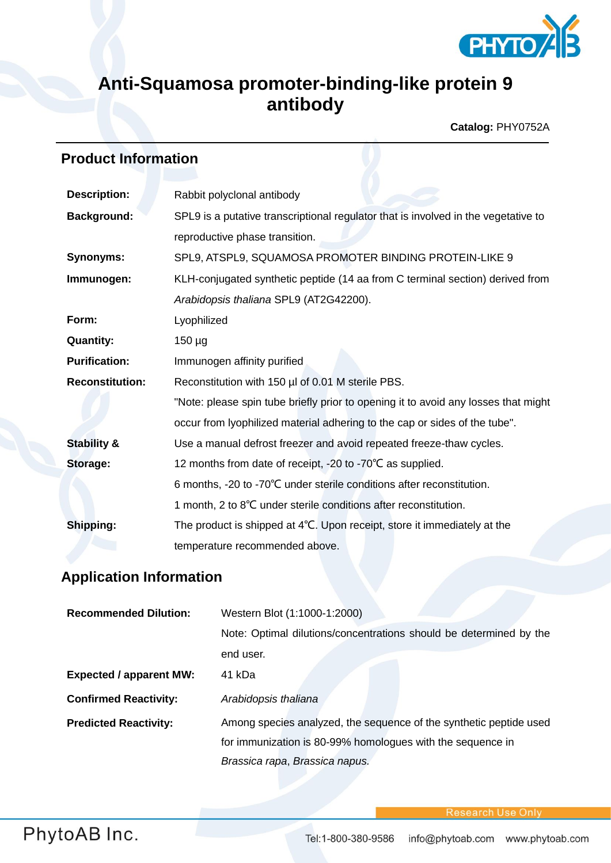

## **Anti-Squamosa promoter-binding-like protein 9 antibody**

**Catalog:** PHY0752A

## **Product Information**

| <b>Description:</b>    | Rabbit polyclonal antibody                                                         |  |
|------------------------|------------------------------------------------------------------------------------|--|
| <b>Background:</b>     | SPL9 is a putative transcriptional regulator that is involved in the vegetative to |  |
|                        | reproductive phase transition.                                                     |  |
| <b>Synonyms:</b>       | SPL9, ATSPL9, SQUAMOSA PROMOTER BINDING PROTEIN-LIKE 9                             |  |
| Immunogen:             | KLH-conjugated synthetic peptide (14 aa from C terminal section) derived from      |  |
|                        | Arabidopsis thaliana SPL9 (AT2G42200).                                             |  |
| Form:                  | Lyophilized                                                                        |  |
| <b>Quantity:</b>       | $150 \mu g$                                                                        |  |
| <b>Purification:</b>   | Immunogen affinity purified                                                        |  |
| <b>Reconstitution:</b> | Reconstitution with 150 µl of 0.01 M sterile PBS.                                  |  |
|                        | "Note: please spin tube briefly prior to opening it to avoid any losses that might |  |
|                        | occur from lyophilized material adhering to the cap or sides of the tube".         |  |
| <b>Stability &amp;</b> | Use a manual defrost freezer and avoid repeated freeze-thaw cycles.                |  |
| <b>Storage:</b>        | 12 months from date of receipt, -20 to -70°C as supplied.                          |  |
|                        | 6 months, -20 to -70°C under sterile conditions after reconstitution.              |  |
|                        | 1 month, 2 to 8°C under sterile conditions after reconstitution.                   |  |
| Shipping:              | The product is shipped at 4°C. Upon receipt, store it immediately at the           |  |
|                        | temperature recommended above.                                                     |  |

## **Application Information**

| <b>Recommended Dilution:</b>   | Western Blot (1:1000-1:2000)                                       |
|--------------------------------|--------------------------------------------------------------------|
|                                | Note: Optimal dilutions/concentrations should be determined by the |
|                                | end user.                                                          |
| <b>Expected / apparent MW:</b> | 41 kDa                                                             |
| <b>Confirmed Reactivity:</b>   | Arabidopsis thaliana                                               |
| <b>Predicted Reactivity:</b>   | Among species analyzed, the sequence of the synthetic peptide used |
|                                | for immunization is 80-99% homologues with the sequence in         |
|                                | Brassica rapa, Brassica napus.                                     |

**Research Use Onl**